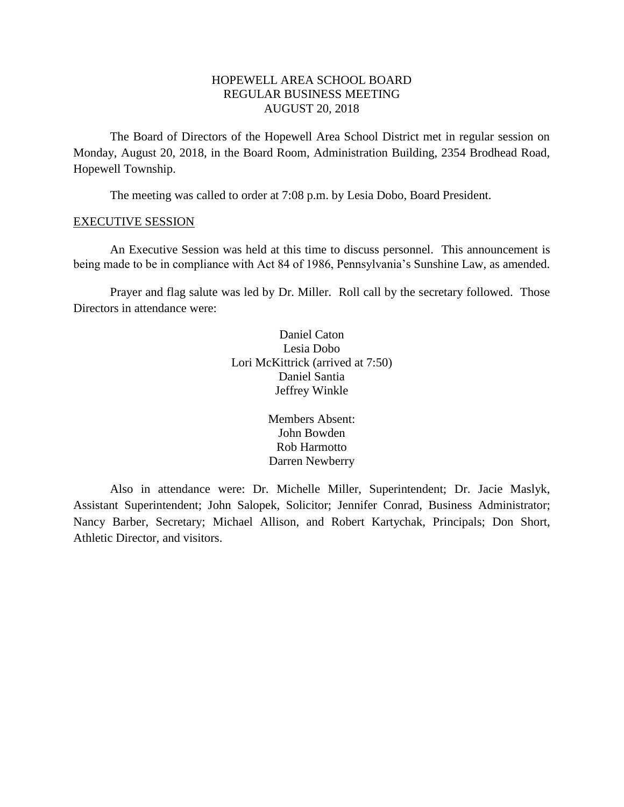# HOPEWELL AREA SCHOOL BOARD REGULAR BUSINESS MEETING AUGUST 20, 2018

The Board of Directors of the Hopewell Area School District met in regular session on Monday, August 20, 2018, in the Board Room, Administration Building, 2354 Brodhead Road, Hopewell Township.

The meeting was called to order at 7:08 p.m. by Lesia Dobo, Board President.

### EXECUTIVE SESSION

An Executive Session was held at this time to discuss personnel. This announcement is being made to be in compliance with Act 84 of 1986, Pennsylvania's Sunshine Law, as amended.

Prayer and flag salute was led by Dr. Miller. Roll call by the secretary followed. Those Directors in attendance were:

> Daniel Caton Lesia Dobo Lori McKittrick (arrived at 7:50) Daniel Santia Jeffrey Winkle

> > Members Absent: John Bowden Rob Harmotto Darren Newberry

Also in attendance were: Dr. Michelle Miller, Superintendent; Dr. Jacie Maslyk, Assistant Superintendent; John Salopek, Solicitor; Jennifer Conrad, Business Administrator; Nancy Barber, Secretary; Michael Allison, and Robert Kartychak, Principals; Don Short, Athletic Director, and visitors.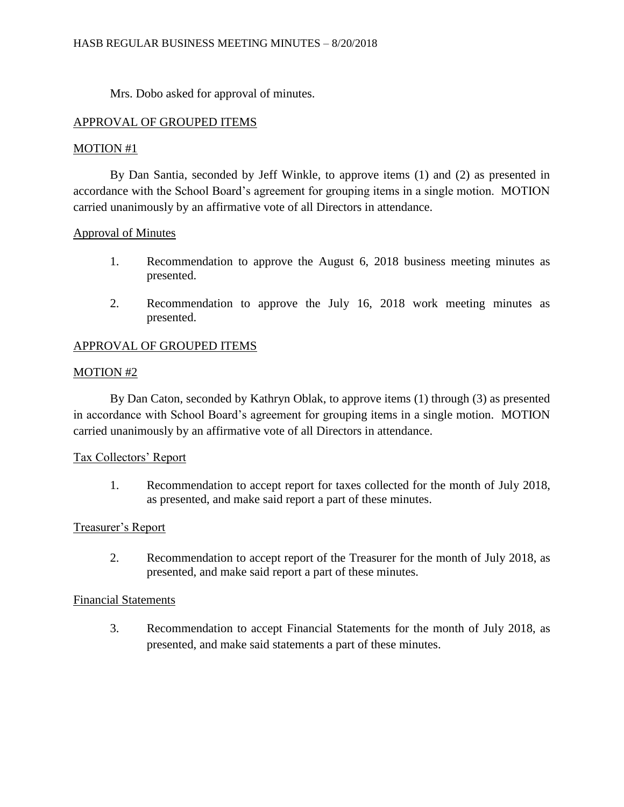Mrs. Dobo asked for approval of minutes.

# APPROVAL OF GROUPED ITEMS

# MOTION #1

By Dan Santia, seconded by Jeff Winkle, to approve items (1) and (2) as presented in accordance with the School Board's agreement for grouping items in a single motion. MOTION carried unanimously by an affirmative vote of all Directors in attendance.

# Approval of Minutes

- 1. Recommendation to approve the August 6, 2018 business meeting minutes as presented.
- 2. Recommendation to approve the July 16, 2018 work meeting minutes as presented.

# APPROVAL OF GROUPED ITEMS

# MOTION #2

By Dan Caton, seconded by Kathryn Oblak, to approve items (1) through (3) as presented in accordance with School Board's agreement for grouping items in a single motion. MOTION carried unanimously by an affirmative vote of all Directors in attendance.

# Tax Collectors' Report

1. Recommendation to accept report for taxes collected for the month of July 2018, as presented, and make said report a part of these minutes.

# Treasurer's Report

2. Recommendation to accept report of the Treasurer for the month of July 2018, as presented, and make said report a part of these minutes.

# Financial Statements

3. Recommendation to accept Financial Statements for the month of July 2018, as presented, and make said statements a part of these minutes.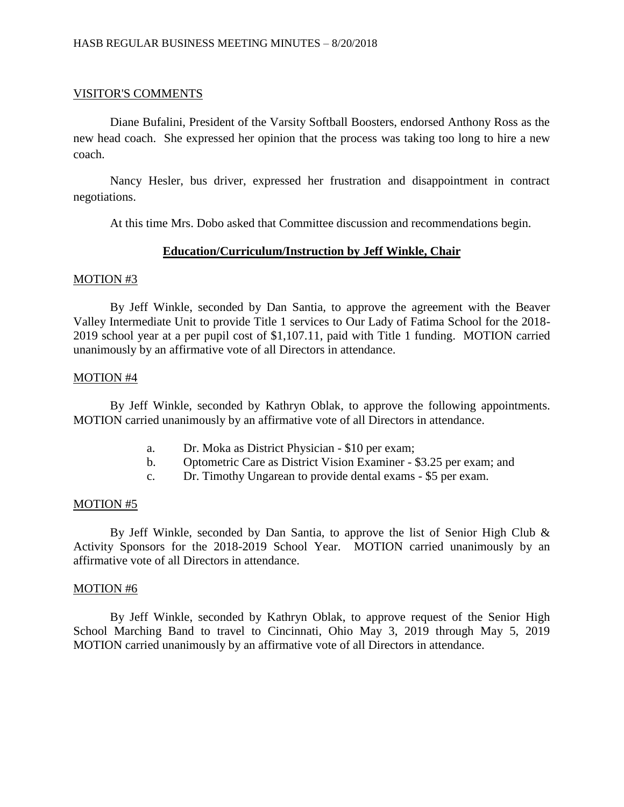## VISITOR'S COMMENTS

Diane Bufalini, President of the Varsity Softball Boosters, endorsed Anthony Ross as the new head coach. She expressed her opinion that the process was taking too long to hire a new coach.

Nancy Hesler, bus driver, expressed her frustration and disappointment in contract negotiations.

At this time Mrs. Dobo asked that Committee discussion and recommendations begin.

## **Education/Curriculum/Instruction by Jeff Winkle, Chair**

### MOTION #3

By Jeff Winkle, seconded by Dan Santia, to approve the agreement with the Beaver Valley Intermediate Unit to provide Title 1 services to Our Lady of Fatima School for the 2018- 2019 school year at a per pupil cost of \$1,107.11, paid with Title 1 funding. MOTION carried unanimously by an affirmative vote of all Directors in attendance.

### MOTION #4

By Jeff Winkle, seconded by Kathryn Oblak, to approve the following appointments. MOTION carried unanimously by an affirmative vote of all Directors in attendance.

- a. Dr. Moka as District Physician \$10 per exam;
- b. Optometric Care as District Vision Examiner \$3.25 per exam; and
- c. Dr. Timothy Ungarean to provide dental exams \$5 per exam.

#### MOTION #5

By Jeff Winkle, seconded by Dan Santia, to approve the list of Senior High Club & Activity Sponsors for the 2018-2019 School Year. MOTION carried unanimously by an affirmative vote of all Directors in attendance.

### MOTION #6

By Jeff Winkle, seconded by Kathryn Oblak, to approve request of the Senior High School Marching Band to travel to Cincinnati, Ohio May 3, 2019 through May 5, 2019 MOTION carried unanimously by an affirmative vote of all Directors in attendance.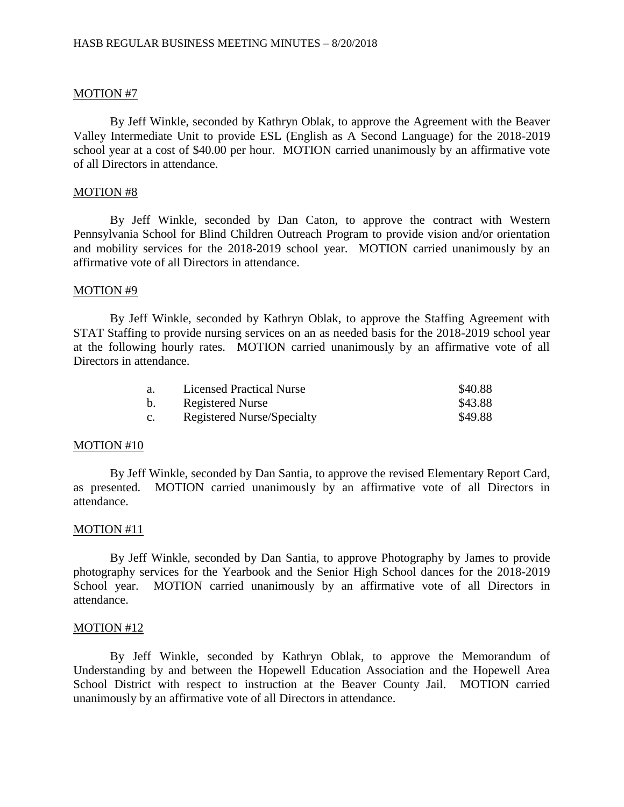By Jeff Winkle, seconded by Kathryn Oblak, to approve the Agreement with the Beaver Valley Intermediate Unit to provide ESL (English as A Second Language) for the 2018-2019 school year at a cost of \$40.00 per hour. MOTION carried unanimously by an affirmative vote of all Directors in attendance.

## MOTION #8

By Jeff Winkle, seconded by Dan Caton, to approve the contract with Western Pennsylvania School for Blind Children Outreach Program to provide vision and/or orientation and mobility services for the 2018-2019 school year. MOTION carried unanimously by an affirmative vote of all Directors in attendance.

## MOTION #9

By Jeff Winkle, seconded by Kathryn Oblak, to approve the Staffing Agreement with STAT Staffing to provide nursing services on an as needed basis for the 2018-2019 school year at the following hourly rates. MOTION carried unanimously by an affirmative vote of all Directors in attendance.

| а. | <b>Licensed Practical Nurse</b>   | \$40.88 |
|----|-----------------------------------|---------|
| b. | <b>Registered Nurse</b>           | \$43.88 |
| C. | <b>Registered Nurse/Specialty</b> | \$49.88 |

## MOTION #10

By Jeff Winkle, seconded by Dan Santia, to approve the revised Elementary Report Card, as presented. MOTION carried unanimously by an affirmative vote of all Directors in attendance.

## MOTION #11

By Jeff Winkle, seconded by Dan Santia, to approve Photography by James to provide photography services for the Yearbook and the Senior High School dances for the 2018-2019 School year. MOTION carried unanimously by an affirmative vote of all Directors in attendance.

## MOTION #12

By Jeff Winkle, seconded by Kathryn Oblak, to approve the Memorandum of Understanding by and between the Hopewell Education Association and the Hopewell Area School District with respect to instruction at the Beaver County Jail. MOTION carried unanimously by an affirmative vote of all Directors in attendance.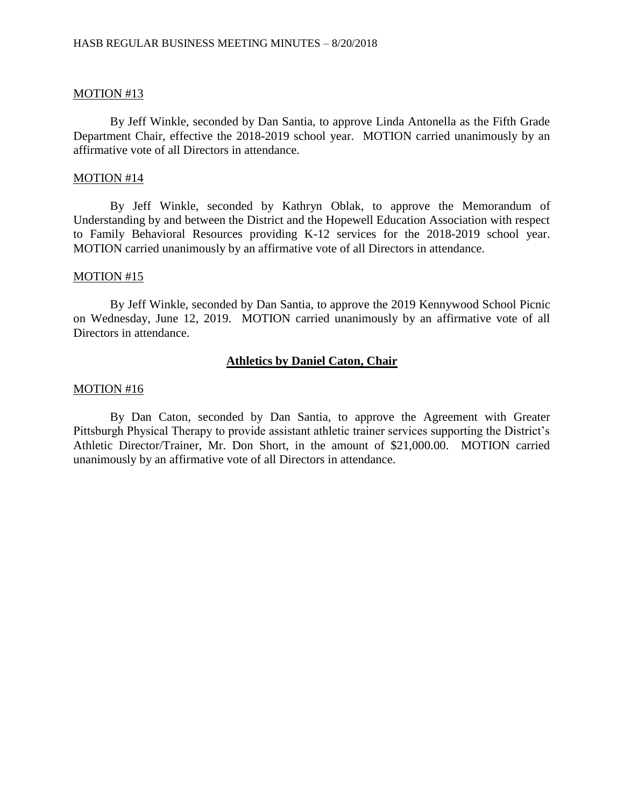By Jeff Winkle, seconded by Dan Santia, to approve Linda Antonella as the Fifth Grade Department Chair, effective the 2018-2019 school year. MOTION carried unanimously by an affirmative vote of all Directors in attendance.

### MOTION #14

By Jeff Winkle, seconded by Kathryn Oblak, to approve the Memorandum of Understanding by and between the District and the Hopewell Education Association with respect to Family Behavioral Resources providing K-12 services for the 2018-2019 school year. MOTION carried unanimously by an affirmative vote of all Directors in attendance.

### MOTION #15

By Jeff Winkle, seconded by Dan Santia, to approve the 2019 Kennywood School Picnic on Wednesday, June 12, 2019. MOTION carried unanimously by an affirmative vote of all Directors in attendance.

## **Athletics by Daniel Caton, Chair**

### MOTION #16

By Dan Caton, seconded by Dan Santia, to approve the Agreement with Greater Pittsburgh Physical Therapy to provide assistant athletic trainer services supporting the District's Athletic Director/Trainer, Mr. Don Short, in the amount of \$21,000.00. MOTION carried unanimously by an affirmative vote of all Directors in attendance.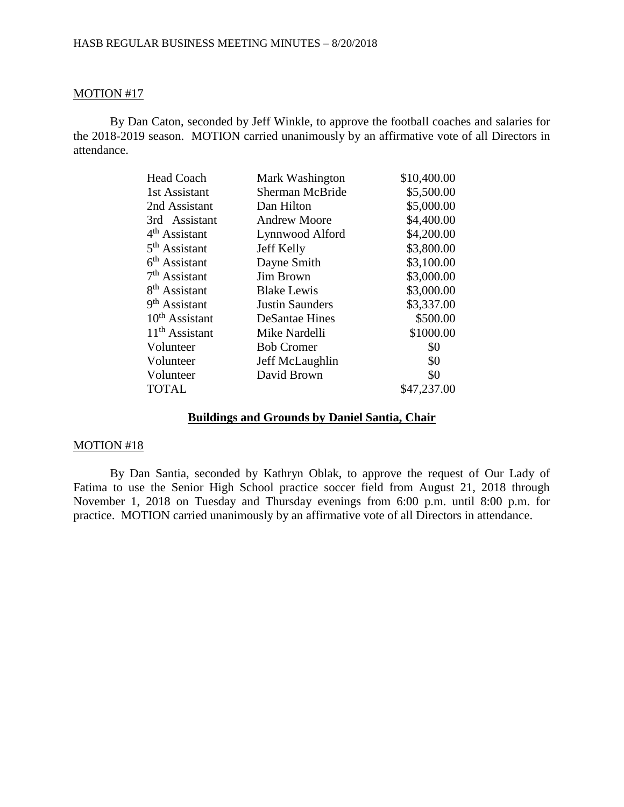By Dan Caton, seconded by Jeff Winkle, to approve the football coaches and salaries for the 2018-2019 season. MOTION carried unanimously by an affirmative vote of all Directors in attendance.

| <b>Head Coach</b>         | Mark Washington        | \$10,400.00 |
|---------------------------|------------------------|-------------|
| 1st Assistant             | <b>Sherman McBride</b> | \$5,500.00  |
| 2nd Assistant             | Dan Hilton             | \$5,000.00  |
| 3rd Assistant             | <b>Andrew Moore</b>    | \$4,400.00  |
| 4 <sup>th</sup> Assistant | Lynnwood Alford        | \$4,200.00  |
| 5 <sup>th</sup> Assistant | Jeff Kelly             | \$3,800.00  |
| $6th$ Assistant           | Dayne Smith            | \$3,100.00  |
| $7th$ Assistant           | <b>Jim Brown</b>       | \$3,000.00  |
| 8 <sup>th</sup> Assistant | <b>Blake Lewis</b>     | \$3,000.00  |
| 9 <sup>th</sup> Assistant | <b>Justin Saunders</b> | \$3,337.00  |
| $10^{th}$ Assistant       | DeSantae Hines         | \$500.00    |
| $11th$ Assistant          | Mike Nardelli          | \$1000.00   |
| Volunteer                 | <b>Bob Cromer</b>      | \$0         |
| Volunteer                 | Jeff McLaughlin        | \$0         |
| Volunteer                 | David Brown            | \$0         |
| <b>TOTAL</b>              |                        | \$47,237.00 |

# **Buildings and Grounds by Daniel Santia, Chair**

### MOTION #18

By Dan Santia, seconded by Kathryn Oblak, to approve the request of Our Lady of Fatima to use the Senior High School practice soccer field from August 21, 2018 through November 1, 2018 on Tuesday and Thursday evenings from 6:00 p.m. until 8:00 p.m. for practice. MOTION carried unanimously by an affirmative vote of all Directors in attendance.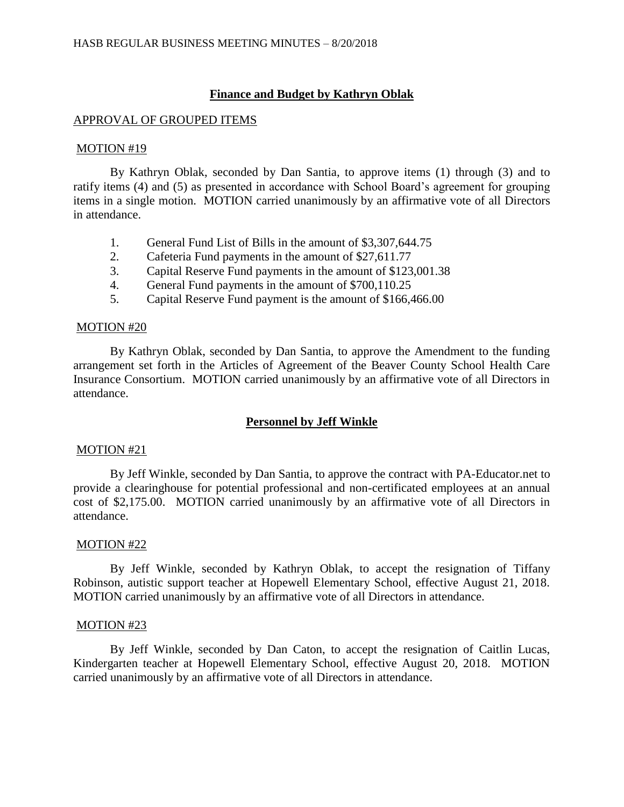# **Finance and Budget by Kathryn Oblak**

### APPROVAL OF GROUPED ITEMS

### MOTION #19

By Kathryn Oblak, seconded by Dan Santia, to approve items (1) through (3) and to ratify items (4) and (5) as presented in accordance with School Board's agreement for grouping items in a single motion. MOTION carried unanimously by an affirmative vote of all Directors in attendance.

- 1. General Fund List of Bills in the amount of \$3,307,644.75
- 2. Cafeteria Fund payments in the amount of \$27,611.77
- 3. Capital Reserve Fund payments in the amount of \$123,001.38
- 4. General Fund payments in the amount of \$700,110.25
- 5. Capital Reserve Fund payment is the amount of \$166,466.00

## MOTION #20

By Kathryn Oblak, seconded by Dan Santia, to approve the Amendment to the funding arrangement set forth in the Articles of Agreement of the Beaver County School Health Care Insurance Consortium. MOTION carried unanimously by an affirmative vote of all Directors in attendance.

# **Personnel by Jeff Winkle**

### MOTION #21

By Jeff Winkle, seconded by Dan Santia, to approve the contract with PA-Educator.net to provide a clearinghouse for potential professional and non-certificated employees at an annual cost of \$2,175.00. MOTION carried unanimously by an affirmative vote of all Directors in attendance.

#### MOTION #22

By Jeff Winkle, seconded by Kathryn Oblak, to accept the resignation of Tiffany Robinson, autistic support teacher at Hopewell Elementary School, effective August 21, 2018. MOTION carried unanimously by an affirmative vote of all Directors in attendance.

#### MOTION #23

By Jeff Winkle, seconded by Dan Caton, to accept the resignation of Caitlin Lucas, Kindergarten teacher at Hopewell Elementary School, effective August 20, 2018. MOTION carried unanimously by an affirmative vote of all Directors in attendance.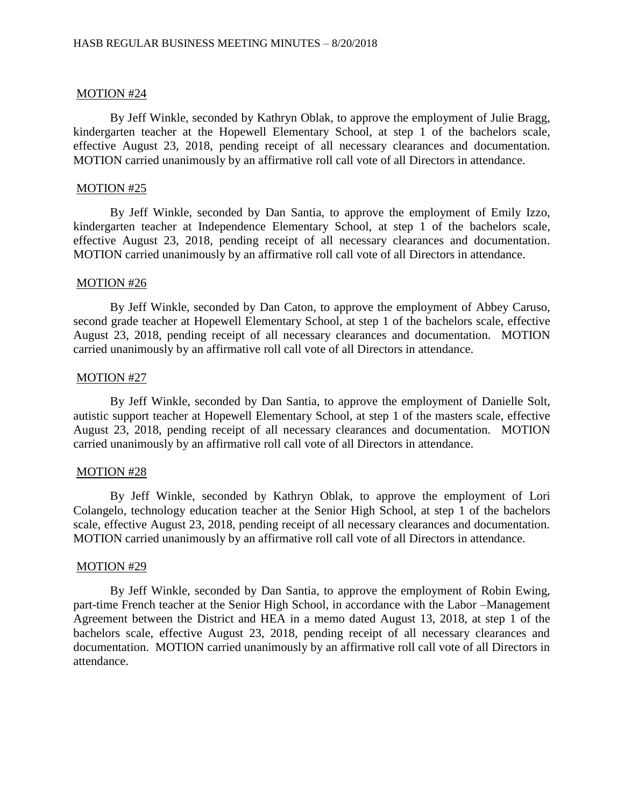By Jeff Winkle, seconded by Kathryn Oblak, to approve the employment of Julie Bragg, kindergarten teacher at the Hopewell Elementary School, at step 1 of the bachelors scale, effective August 23, 2018, pending receipt of all necessary clearances and documentation. MOTION carried unanimously by an affirmative roll call vote of all Directors in attendance.

### MOTION #25

By Jeff Winkle, seconded by Dan Santia, to approve the employment of Emily Izzo, kindergarten teacher at Independence Elementary School, at step 1 of the bachelors scale, effective August 23, 2018, pending receipt of all necessary clearances and documentation. MOTION carried unanimously by an affirmative roll call vote of all Directors in attendance.

### MOTION #26

By Jeff Winkle, seconded by Dan Caton, to approve the employment of Abbey Caruso, second grade teacher at Hopewell Elementary School, at step 1 of the bachelors scale, effective August 23, 2018, pending receipt of all necessary clearances and documentation. MOTION carried unanimously by an affirmative roll call vote of all Directors in attendance.

### MOTION #27

By Jeff Winkle, seconded by Dan Santia, to approve the employment of Danielle Solt, autistic support teacher at Hopewell Elementary School, at step 1 of the masters scale, effective August 23, 2018, pending receipt of all necessary clearances and documentation. MOTION carried unanimously by an affirmative roll call vote of all Directors in attendance.

## MOTION #28

By Jeff Winkle, seconded by Kathryn Oblak, to approve the employment of Lori Colangelo, technology education teacher at the Senior High School, at step 1 of the bachelors scale, effective August 23, 2018, pending receipt of all necessary clearances and documentation. MOTION carried unanimously by an affirmative roll call vote of all Directors in attendance.

### MOTION #29

By Jeff Winkle, seconded by Dan Santia, to approve the employment of Robin Ewing, part-time French teacher at the Senior High School, in accordance with the Labor –Management Agreement between the District and HEA in a memo dated August 13, 2018, at step 1 of the bachelors scale, effective August 23, 2018, pending receipt of all necessary clearances and documentation. MOTION carried unanimously by an affirmative roll call vote of all Directors in attendance.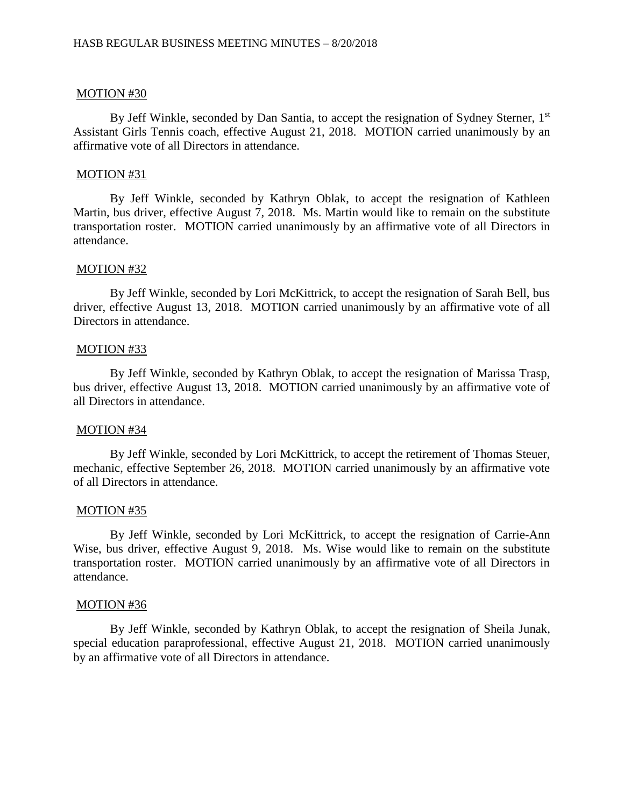By Jeff Winkle, seconded by Dan Santia, to accept the resignation of Sydney Sterner, 1<sup>st</sup> Assistant Girls Tennis coach, effective August 21, 2018. MOTION carried unanimously by an affirmative vote of all Directors in attendance.

### MOTION #31

By Jeff Winkle, seconded by Kathryn Oblak, to accept the resignation of Kathleen Martin, bus driver, effective August 7, 2018. Ms. Martin would like to remain on the substitute transportation roster. MOTION carried unanimously by an affirmative vote of all Directors in attendance.

### MOTION #32

By Jeff Winkle, seconded by Lori McKittrick, to accept the resignation of Sarah Bell, bus driver, effective August 13, 2018. MOTION carried unanimously by an affirmative vote of all Directors in attendance.

### MOTION #33

By Jeff Winkle, seconded by Kathryn Oblak, to accept the resignation of Marissa Trasp, bus driver, effective August 13, 2018. MOTION carried unanimously by an affirmative vote of all Directors in attendance.

## MOTION #34

By Jeff Winkle, seconded by Lori McKittrick, to accept the retirement of Thomas Steuer, mechanic, effective September 26, 2018. MOTION carried unanimously by an affirmative vote of all Directors in attendance.

#### MOTION #35

By Jeff Winkle, seconded by Lori McKittrick, to accept the resignation of Carrie-Ann Wise, bus driver, effective August 9, 2018. Ms. Wise would like to remain on the substitute transportation roster. MOTION carried unanimously by an affirmative vote of all Directors in attendance.

#### MOTION #36

By Jeff Winkle, seconded by Kathryn Oblak, to accept the resignation of Sheila Junak, special education paraprofessional, effective August 21, 2018. MOTION carried unanimously by an affirmative vote of all Directors in attendance.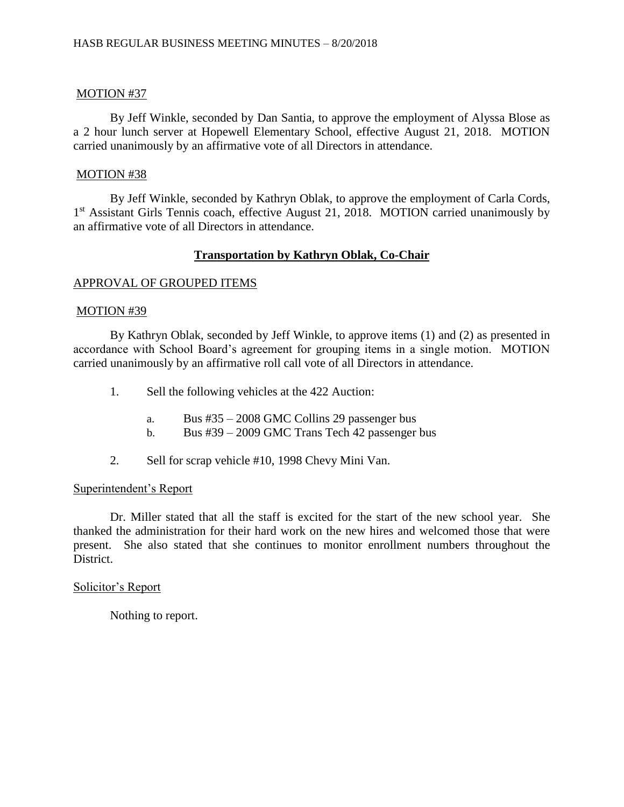By Jeff Winkle, seconded by Dan Santia, to approve the employment of Alyssa Blose as a 2 hour lunch server at Hopewell Elementary School, effective August 21, 2018. MOTION carried unanimously by an affirmative vote of all Directors in attendance.

# MOTION #38

By Jeff Winkle, seconded by Kathryn Oblak, to approve the employment of Carla Cords, 1<sup>st</sup> Assistant Girls Tennis coach, effective August 21, 2018. MOTION carried unanimously by an affirmative vote of all Directors in attendance.

# **Transportation by Kathryn Oblak, Co-Chair**

# APPROVAL OF GROUPED ITEMS

# MOTION #39

By Kathryn Oblak, seconded by Jeff Winkle, to approve items (1) and (2) as presented in accordance with School Board's agreement for grouping items in a single motion. MOTION carried unanimously by an affirmative roll call vote of all Directors in attendance.

- 1. Sell the following vehicles at the 422 Auction:
	- a. Bus #35 2008 GMC Collins 29 passenger bus
	- b. Bus #39 2009 GMC Trans Tech 42 passenger bus
- 2. Sell for scrap vehicle #10, 1998 Chevy Mini Van.

## Superintendent's Report

Dr. Miller stated that all the staff is excited for the start of the new school year. She thanked the administration for their hard work on the new hires and welcomed those that were present. She also stated that she continues to monitor enrollment numbers throughout the District.

# Solicitor's Report

Nothing to report.